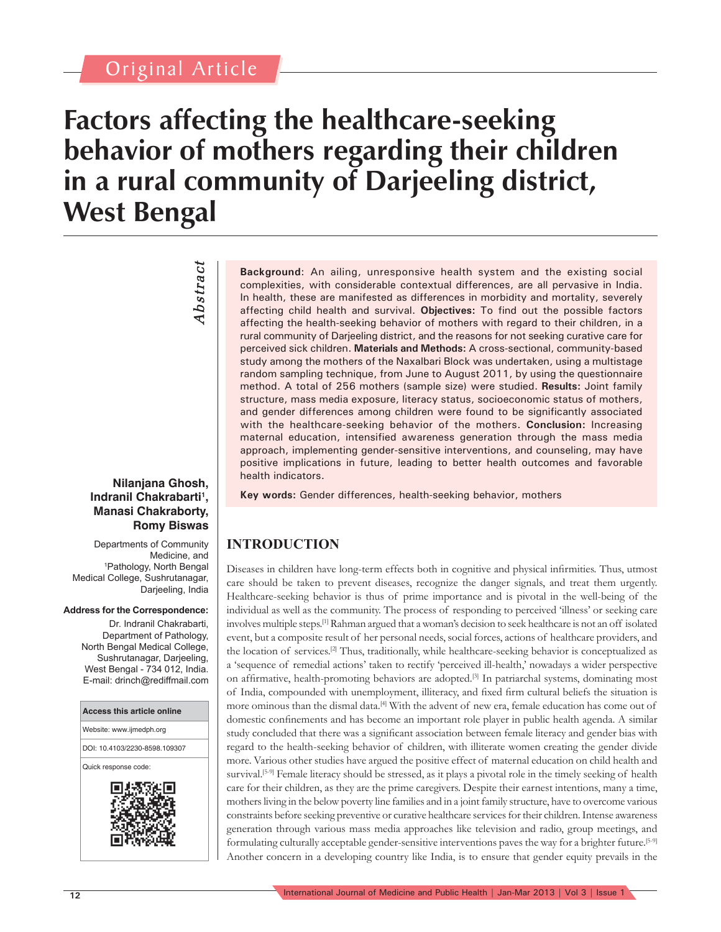## Original Article

# **Factors affecting the healthcare-seeking behavior of mothers regarding their children in a rural community of Darjeeling district, West Bengal**

*Abstract Abstract* 

#### **Nilanjana Ghosh, Indranil Chakrabarti1 , Manasi Chakraborty, Romy Biswas**

Departments of Community Medicine, and 1 Pathology, North Bengal Medical College, Sushrutanagar, Darjeeling, India

#### **Address for the Correspondence:**

Dr. Indranil Chakrabarti, Department of Pathology, North Bengal Medical College, Sushrutanagar, Darjeeling, West Bengal - 734 012, India. E-mail: drinch@rediffmail.com

#### **Access this article online**

Website: www.ijmedph.org

DOI: 10.4103/2230-8598.109307

Quick response code:



**Background**: An ailing, unresponsive health system and the existing social complexities, with considerable contextual differences, are all pervasive in India. In health, these are manifested as differences in morbidity and mortality, severely affecting child health and survival. Objectives: To find out the possible factors affecting the health-seeking behavior of mothers with regard to their children, in a rural community of Darjeeling district, and the reasons for not seeking curative care for perceived sick children. **Materials and Methods:** A cross-sectional, community-based study among the mothers of the Naxalbari Block was undertaken, using a multistage random sampling technique, from June to August 2011, by using the questionnaire method. A total of 256 mothers (sample size) were studied. **Results:** Joint family structure, mass media exposure, literacy status, socioeconomic status of mothers, and gender differences among children were found to be significantly associated with the healthcare-seeking behavior of the mothers. **Conclusion:** Increasing maternal education, intensified awareness generation through the mass media approach, implementing gender-sensitive interventions, and counseling, may have positive implications in future, leading to better health outcomes and favorable health indicators.

**Key words:** Gender differences, health-seeking behavior, mothers

## **INTRODUCTION**

Diseases in children have long-term effects both in cognitive and physical infirmities. Thus, utmost care should be taken to prevent diseases, recognize the danger signals, and treat them urgently. Healthcare-seeking behavior is thus of prime importance and is pivotal in the well-being of the individual as well as the community. The process of responding to perceived 'illness' or seeking care involves multiple steps.[1] Rahman argued that a woman's decision to seek healthcare is not an off isolated event, but a composite result of her personal needs, social forces, actions of healthcare providers, and the location of services.[2] Thus, traditionally, while healthcare-seeking behavior is conceptualized as a 'sequence of remedial actions' taken to rectify 'perceived ill-health,' nowadays a wider perspective on affirmative, health-promoting behaviors are adopted.<sup>[3]</sup> In patriarchal systems, dominating most of India, compounded with unemployment, illiteracy, and fixed firm cultural beliefs the situation is more ominous than the dismal data.<sup>[4]</sup> With the advent of new era, female education has come out of domestic confinements and has become an important role player in public health agenda. A similar study concluded that there was a significant association between female literacy and gender bias with regard to the health-seeking behavior of children, with illiterate women creating the gender divide more. Various other studies have argued the positive effect of maternal education on child health and survival.<sup>[5-9]</sup> Female literacy should be stressed, as it plays a pivotal role in the timely seeking of health care for their children, as they are the prime caregivers. Despite their earnest intentions, many a time, mothers living in the below poverty line families and in a joint family structure, have to overcome various constraints before seeking preventive or curative healthcare services for their children. Intense awareness generation through various mass media approaches like television and radio, group meetings, and formulating culturally acceptable gender-sensitive interventions paves the way for a brighter future.[5-9] Another concern in a developing country like India, is to ensure that gender equity prevails in the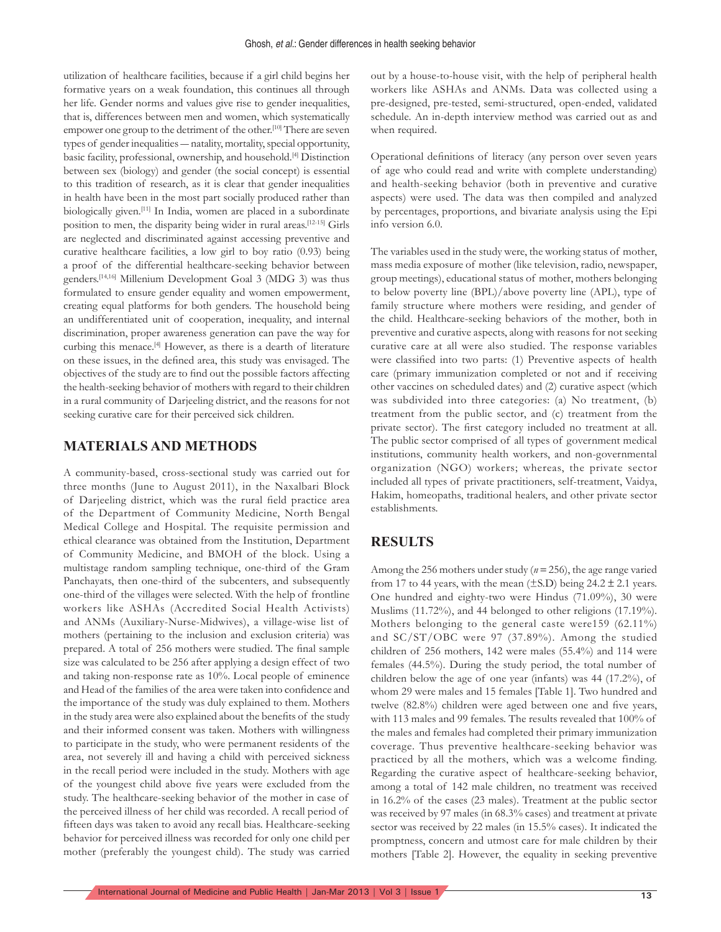utilization of healthcare facilities, because if a girl child begins her formative years on a weak foundation, this continues all through her life. Gender norms and values give rise to gender inequalities, that is, differences between men and women, which systematically empower one group to the detriment of the other.<sup>[10]</sup> There are seven types of gender inequalities ― natality, mortality, special opportunity, basic facility, professional, ownership, and household.[4] Distinction between sex (biology) and gender (the social concept) is essential to this tradition of research, as it is clear that gender inequalities in health have been in the most part socially produced rather than biologically given.<sup>[11]</sup> In India, women are placed in a subordinate position to men, the disparity being wider in rural areas.<sup>[12-15]</sup> Girls are neglected and discriminated against accessing preventive and curative healthcare facilities, a low girl to boy ratio (0.93) being a proof of the differential healthcare-seeking behavior between genders.[14,16] Millenium Development Goal 3 (MDG 3) was thus formulated to ensure gender equality and women empowerment, creating equal platforms for both genders. The household being an undifferentiated unit of cooperation, inequality, and internal discrimination, proper awareness generation can pave the way for curbing this menace.[4] However, as there is a dearth of literature on these issues, in the defined area, this study was envisaged. The objectives of the study are to find out the possible factors affecting the health-seeking behavior of mothers with regard to their children in a rural community of Darjeeling district, and the reasons for not seeking curative care for their perceived sick children.

#### **MATERIALS AND METHODS**

A community-based, cross-sectional study was carried out for three months (June to August 2011), in the Naxalbari Block of Darjeeling district, which was the rural field practice area of the Department of Community Medicine, North Bengal Medical College and Hospital. The requisite permission and ethical clearance was obtained from the Institution, Department of Community Medicine, and BMOH of the block. Using a multistage random sampling technique, one-third of the Gram Panchayats, then one-third of the subcenters, and subsequently one-third of the villages were selected. With the help of frontline workers like ASHAs (Accredited Social Health Activists) and ANMs (Auxiliary-Nurse-Midwives), a village-wise list of mothers (pertaining to the inclusion and exclusion criteria) was prepared. A total of 256 mothers were studied. The final sample size was calculated to be 256 after applying a design effect of two and taking non-response rate as 10%. Local people of eminence and Head of the families of the area were taken into confidence and the importance of the study was duly explained to them. Mothers in the study area were also explained about the benefits of the study and their informed consent was taken. Mothers with willingness to participate in the study, who were permanent residents of the area, not severely ill and having a child with perceived sickness in the recall period were included in the study. Mothers with age of the youngest child above five years were excluded from the study. The healthcare-seeking behavior of the mother in case of the perceived illness of her child was recorded. A recall period of fi fteen days was taken to avoid any recall bias. Healthcare-seeking behavior for perceived illness was recorded for only one child per mother (preferably the youngest child). The study was carried

out by a house-to-house visit, with the help of peripheral health workers like ASHAs and ANMs. Data was collected using a pre-designed, pre-tested, semi-structured, open-ended, validated schedule. An in-depth interview method was carried out as and when required.

Operational definitions of literacy (any person over seven years of age who could read and write with complete understanding) and health-seeking behavior (both in preventive and curative aspects) were used. The data was then compiled and analyzed by percentages, proportions, and bivariate analysis using the Epi info version 6.0.

The variables used in the study were, the working status of mother, mass media exposure of mother (like television, radio, newspaper, group meetings), educational status of mother, mothers belonging to below poverty line (BPL)/above poverty line (APL), type of family structure where mothers were residing, and gender of the child. Healthcare-seeking behaviors of the mother, both in preventive and curative aspects, along with reasons for not seeking curative care at all were also studied. The response variables were classified into two parts: (1) Preventive aspects of health care (primary immunization completed or not and if receiving other vaccines on scheduled dates) and (2) curative aspect (which was subdivided into three categories: (a) No treatment, (b) treatment from the public sector, and (c) treatment from the private sector). The first category included no treatment at all. The public sector comprised of all types of government medical institutions, community health workers, and non-governmental organization (NGO) workers; whereas, the private sector included all types of private practitioners, self-treatment, Vaidya, Hakim, homeopaths, traditional healers, and other private sector establishments.

#### **RESULTS**

Among the 256 mothers under study (*n* = 256), the age range varied from 17 to 44 years, with the mean  $(\pm S.D)$  being 24.2  $\pm$  2.1 years. One hundred and eighty-two were Hindus (71.09%), 30 were Muslims (11.72%), and 44 belonged to other religions (17.19%). Mothers belonging to the general caste were159 (62.11%) and SC/ST/OBC were 97 (37.89%). Among the studied children of 256 mothers, 142 were males (55.4%) and 114 were females (44.5%). During the study period, the total number of children below the age of one year (infants) was 44 (17.2%), of whom 29 were males and 15 females [Table 1]. Two hundred and twelve (82.8%) children were aged between one and five years, with 113 males and 99 females. The results revealed that 100% of the males and females had completed their primary immunization coverage. Thus preventive healthcare-seeking behavior was practiced by all the mothers, which was a welcome finding. Regarding the curative aspect of healthcare-seeking behavior, among a total of 142 male children, no treatment was received in 16.2% of the cases (23 males). Treatment at the public sector was received by 97 males (in 68.3% cases) and treatment at private sector was received by 22 males (in 15.5% cases). It indicated the promptness, concern and utmost care for male children by their mothers [Table 2]. However, the equality in seeking preventive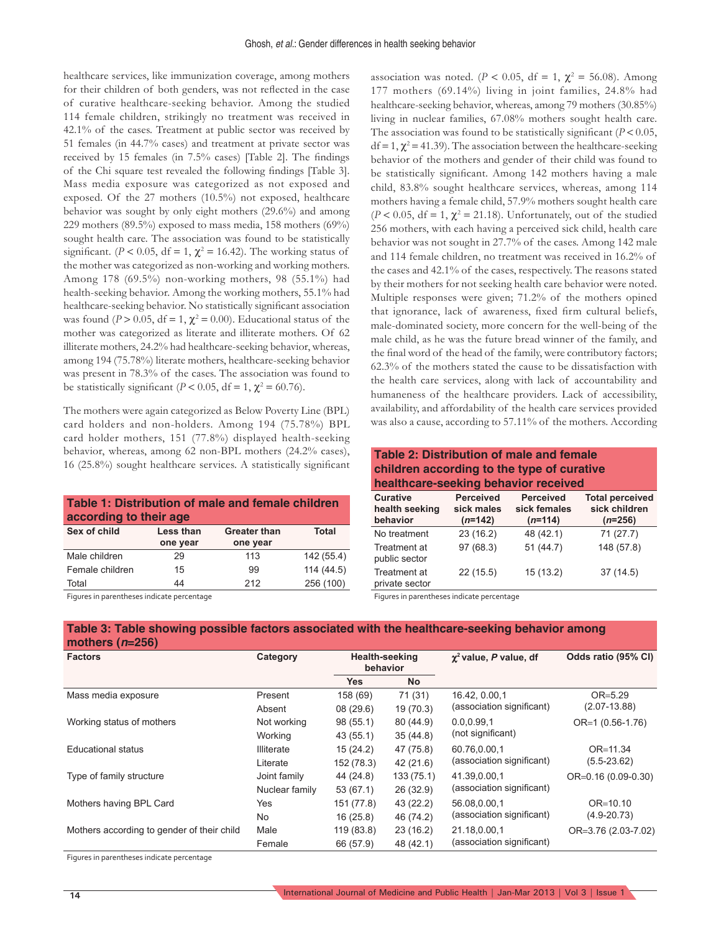healthcare services, like immunization coverage, among mothers for their children of both genders, was not reflected in the case of curative healthcare-seeking behavior. Among the studied 114 female children, strikingly no treatment was received in 42.1% of the cases. Treatment at public sector was received by 51 females (in 44.7% cases) and treatment at private sector was received by 15 females (in 7.5% cases) [Table 2]. The findings of the Chi square test revealed the following findings [Table 3]. Mass media exposure was categorized as not exposed and exposed. Of the 27 mothers (10.5%) not exposed, healthcare behavior was sought by only eight mothers (29.6%) and among 229 mothers (89.5%) exposed to mass media, 158 mothers (69%) sought health care. The association was found to be statistically significant. ( $P < 0.05$ , df = 1,  $\chi^2 = 16.42$ ). The working status of the mother was categorized as non-working and working mothers. Among 178 (69.5%) non-working mothers, 98 (55.1%) had health-seeking behavior. Among the working mothers, 55.1% had healthcare-seeking behavior. No statistically significant association was found  $(P > 0.05$ , df = 1,  $\chi^2 = 0.00$ ). Educational status of the mother was categorized as literate and illiterate mothers. Of 62 illiterate mothers, 24.2% had healthcare-seeking behavior, whereas, among 194 (75.78%) literate mothers, healthcare-seeking behavior was present in 78.3% of the cases. The association was found to be statistically significant ( $P < 0.05$ , df = 1,  $\chi^2$  = 60.76).

The mothers were again categorized as Below Poverty Line (BPL) card holders and non-holders. Among 194 (75.78%) BPL card holder mothers, 151 (77.8%) displayed health-seeking behavior, whereas, among 62 non-BPL mothers (24.2% cases), 16 (25.8%) sought healthcare services. A statistically significant

| Table 1: Distribution of male and female children<br>according to their age |                                  |          |              |  |  |  |  |
|-----------------------------------------------------------------------------|----------------------------------|----------|--------------|--|--|--|--|
| Sex of child                                                                | Less than<br><b>Greater than</b> |          | <b>Total</b> |  |  |  |  |
|                                                                             | one year                         | one year |              |  |  |  |  |
| Male children                                                               | 29                               | 113      | 142 (55.4)   |  |  |  |  |
| Female children                                                             | 15                               | 99       | 114(44.5)    |  |  |  |  |
| Total                                                                       | 44                               | 212      | 256 (100)    |  |  |  |  |

Figures in parentheses indicate percentage

association was noted. ( $P < 0.05$ , df = 1,  $\chi^2 = 56.08$ ). Among 177 mothers (69.14%) living in joint families, 24.8% had healthcare-seeking behavior, whereas, among 79 mothers (30.85%) living in nuclear families, 67.08% mothers sought health care. The association was found to be statistically significant  $(P < 0.05$ ,  $df = 1, \chi^2 = 41.39$ . The association between the healthcare-seeking behavior of the mothers and gender of their child was found to be statistically significant. Among 142 mothers having a male child, 83.8% sought healthcare services, whereas, among 114 mothers having a female child, 57.9% mothers sought health care ( $P < 0.05$ , df = 1,  $\chi^2$  = 21.18). Unfortunately, out of the studied 256 mothers, with each having a perceived sick child, health care behavior was not sought in 27.7% of the cases. Among 142 male and 114 female children, no treatment was received in 16.2% of the cases and 42.1% of the cases, respectively. The reasons stated by their mothers for not seeking health care behavior were noted. Multiple responses were given; 71.2% of the mothers opined that ignorance, lack of awareness, fixed firm cultural beliefs, male-dominated society, more concern for the well-being of the male child, as he was the future bread winner of the family, and the final word of the head of the family, were contributory factors; 62.3% of the mothers stated the cause to be dissatisfaction with the health care services, along with lack of accountability and humaneness of the healthcare providers. Lack of accessibility, availability, and affordability of the health care services provided was also a cause, according to 57.11% of the mothers. According

#### **Table 2: Distribution of male and female children according to the type of curative healthcare-seeking behavior received**

| <u>Healthcale-Seeming Denaviol Tecenveu</u>   |                                             |                                               |                                                      |  |  |  |  |  |
|-----------------------------------------------|---------------------------------------------|-----------------------------------------------|------------------------------------------------------|--|--|--|--|--|
| <b>Curative</b><br>health seeking<br>behavior | <b>Perceived</b><br>sick males<br>$(n=142)$ | <b>Perceived</b><br>sick females<br>$(n=114)$ | <b>Total perceived</b><br>sick children<br>$(n=256)$ |  |  |  |  |  |
| No treatment                                  | 23 (16.2)                                   | 48 (42.1)                                     | 71(27.7)                                             |  |  |  |  |  |
| Treatment at<br>public sector                 | 97 (68.3)                                   | 51(44.7)                                      | 148 (57.8)                                           |  |  |  |  |  |
| Treatment at<br>private sector                | 22(15.5)                                    | 15(13.2)                                      | 37(14.5)                                             |  |  |  |  |  |

Figures in parentheses indicate percentage

| $1119111010111-4001$                       |                   |                                   |           |                             |                     |
|--------------------------------------------|-------------------|-----------------------------------|-----------|-----------------------------|---------------------|
| <b>Factors</b>                             | Category          | <b>Health-seeking</b><br>behavior |           | $\chi^2$ value, P value, df | Odds ratio (95% CI) |
|                                            |                   | <b>Yes</b>                        | <b>No</b> |                             |                     |
| Mass media exposure                        | Present           | 158 (69)                          | 71 (31)   | 16.42, 0.00,1               | $OR = 5.29$         |
|                                            | Absent            | 08(29.6)                          | 19 (70.3) | (association significant)   | $(2.07 - 13.88)$    |
| Working status of mothers                  | Not working       | 98 (55.1)                         | 80 (44.9) | 0.0.0.99, 1                 | $OR=1(0.56-1.76)$   |
|                                            | Working           | 43 (55.1)                         | 35(44.8)  | (not significant)           |                     |
| <b>Educational status</b>                  | <b>Illiterate</b> | 15(24.2)                          | 47 (75.8) | 60.76.0.00.1                | OR=11.34            |
|                                            | Literate          | 152 (78.3)                        | 42 (21.6) | (association significant)   | $(5.5 - 23.62)$     |
| Type of family structure                   | Joint family      | 44 (24.8)                         | 133(75.1) | 41.39,0.00,1                | OR=0.16 (0.09-0.30) |
|                                            | Nuclear family    | 53(67.1)                          | 26 (32.9) | (association significant)   |                     |
| Mothers having BPL Card                    | Yes               | 151 (77.8)                        | 43 (22.2) | 56.08,0.00,1                | $OR = 10.10$        |
|                                            | No.               | 16(25.8)                          | 46 (74.2) | (association significant)   | $(4.9 - 20.73)$     |
| Mothers according to gender of their child | Male              | 119 (83.8)                        | 23(16.2)  | 21.18,0.00,1                | OR=3.76 (2.03-7.02) |
|                                            | Female            | 66 (57.9)                         | 48 (42.1) | (association significant)   |                     |

**Table 3: Table showing possible factors associated with the healthcare-seeking behavior among mothers (***n***=256)**

Figures in parentheses indicate percentage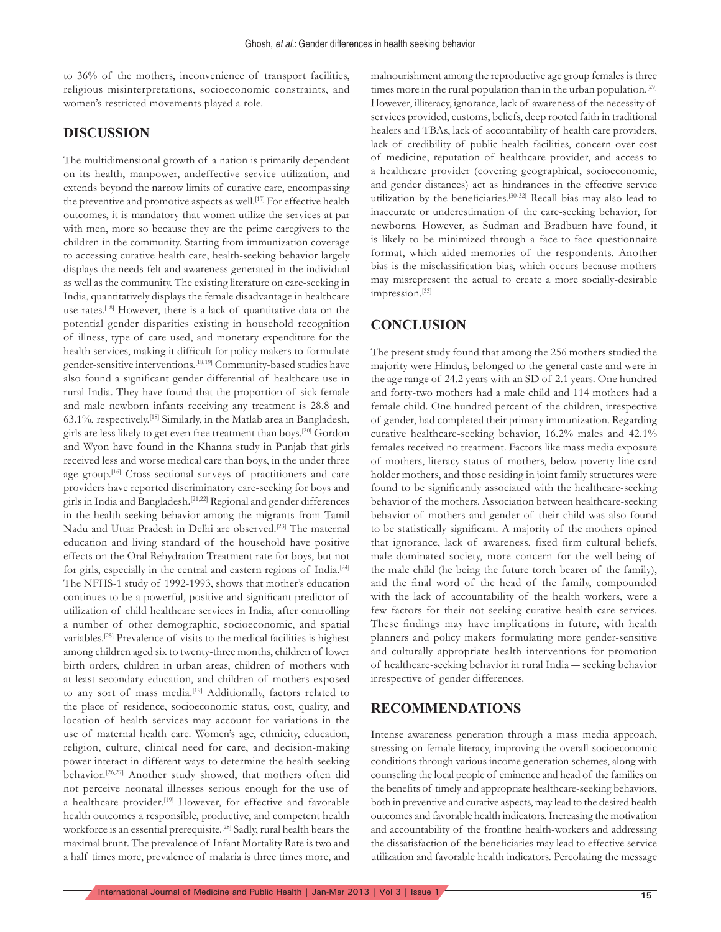to 36% of the mothers, inconvenience of transport facilities, religious misinterpretations, socioeconomic constraints, and women's restricted movements played a role.

#### **DISCUSSION**

The multidimensional growth of a nation is primarily dependent on its health, manpower, andeffective service utilization, and extends beyond the narrow limits of curative care, encompassing the preventive and promotive aspects as well.<sup>[17]</sup> For effective health outcomes, it is mandatory that women utilize the services at par with men, more so because they are the prime caregivers to the children in the community. Starting from immunization coverage to accessing curative health care, health-seeking behavior largely displays the needs felt and awareness generated in the individual as well as the community. The existing literature on care-seeking in India, quantitatively displays the female disadvantage in healthcare use-rates.<sup>[18]</sup> However, there is a lack of quantitative data on the potential gender disparities existing in household recognition of illness, type of care used, and monetary expenditure for the health services, making it difficult for policy makers to formulate gender-sensitive interventions.[18,19] Community-based studies have also found a significant gender differential of healthcare use in rural India. They have found that the proportion of sick female and male newborn infants receiving any treatment is 28.8 and 63.1%, respectively.[18] Similarly, in the Matlab area in Bangladesh, girls are less likely to get even free treatment than boys.[20] Gordon and Wyon have found in the Khanna study in Punjab that girls received less and worse medical care than boys, in the under three age group.<sup>[16]</sup> Cross-sectional surveys of practitioners and care providers have reported discriminatory care-seeking for boys and girls in India and Bangladesh.[21,22] Regional and gender differences in the health-seeking behavior among the migrants from Tamil Nadu and Uttar Pradesh in Delhi are observed.[23] The maternal education and living standard of the household have positive effects on the Oral Rehydration Treatment rate for boys, but not for girls, especially in the central and eastern regions of India.[24] The NFHS-1 study of 1992-1993, shows that mother's education continues to be a powerful, positive and significant predictor of utilization of child healthcare services in India, after controlling a number of other demographic, socioeconomic, and spatial variables.[25] Prevalence of visits to the medical facilities is highest among children aged six to twenty-three months, children of lower birth orders, children in urban areas, children of mothers with at least secondary education, and children of mothers exposed to any sort of mass media.<sup>[19]</sup> Additionally, factors related to the place of residence, socioeconomic status, cost, quality, and location of health services may account for variations in the use of maternal health care. Women's age, ethnicity, education, religion, culture, clinical need for care, and decision-making power interact in different ways to determine the health-seeking behavior.<sup>[26,27]</sup> Another study showed, that mothers often did not perceive neonatal illnesses serious enough for the use of a healthcare provider.[19] However, for effective and favorable health outcomes a responsible, productive, and competent health workforce is an essential prerequisite.<sup>[28]</sup> Sadly, rural health bears the maximal brunt. The prevalence of Infant Mortality Rate is two and a half times more, prevalence of malaria is three times more, and

malnourishment among the reproductive age group females is three times more in the rural population than in the urban population.<sup>[29]</sup> However, illiteracy, ignorance, lack of awareness of the necessity of services provided, customs, beliefs, deep rooted faith in traditional healers and TBAs, lack of accountability of health care providers, lack of credibility of public health facilities, concern over cost of medicine, reputation of healthcare provider, and access to a healthcare provider (covering geographical, socioeconomic, and gender distances) act as hindrances in the effective service utilization by the beneficiaries.<sup>[30-32]</sup> Recall bias may also lead to inaccurate or underestimation of the care-seeking behavior, for newborns. However, as Sudman and Bradburn have found, it is likely to be minimized through a face-to-face questionnaire format, which aided memories of the respondents. Another bias is the misclassification bias, which occurs because mothers may misrepresent the actual to create a more socially-desirable impression.<sup>[33]</sup>

#### **CONCLUSION**

The present study found that among the 256 mothers studied the majority were Hindus, belonged to the general caste and were in the age range of 24.2 years with an SD of 2.1 years. One hundred and forty-two mothers had a male child and 114 mothers had a female child. One hundred percent of the children, irrespective of gender, had completed their primary immunization. Regarding curative healthcare-seeking behavior, 16.2% males and 42.1% females received no treatment. Factors like mass media exposure of mothers, literacy status of mothers, below poverty line card holder mothers, and those residing in joint family structures were found to be significantly associated with the healthcare-seeking behavior of the mothers. Association between healthcare-seeking behavior of mothers and gender of their child was also found to be statistically significant. A majority of the mothers opined that ignorance, lack of awareness, fixed firm cultural beliefs, male-dominated society, more concern for the well-being of the male child (he being the future torch bearer of the family), and the final word of the head of the family, compounded with the lack of accountability of the health workers, were a few factors for their not seeking curative health care services. These findings may have implications in future, with health planners and policy makers formulating more gender-sensitive and culturally appropriate health interventions for promotion of healthcare-seeking behavior in rural India ― seeking behavior irrespective of gender differences.

#### **RECOMMENDATIONS**

Intense awareness generation through a mass media approach, stressing on female literacy, improving the overall socioeconomic conditions through various income generation schemes, along with counseling the local people of eminence and head of the families on the benefits of timely and appropriate healthcare-seeking behaviors, both in preventive and curative aspects, may lead to the desired health outcomes and favorable health indicators. Increasing the motivation and accountability of the frontline health-workers and addressing the dissatisfaction of the beneficiaries may lead to effective service utilization and favorable health indicators. Percolating the message